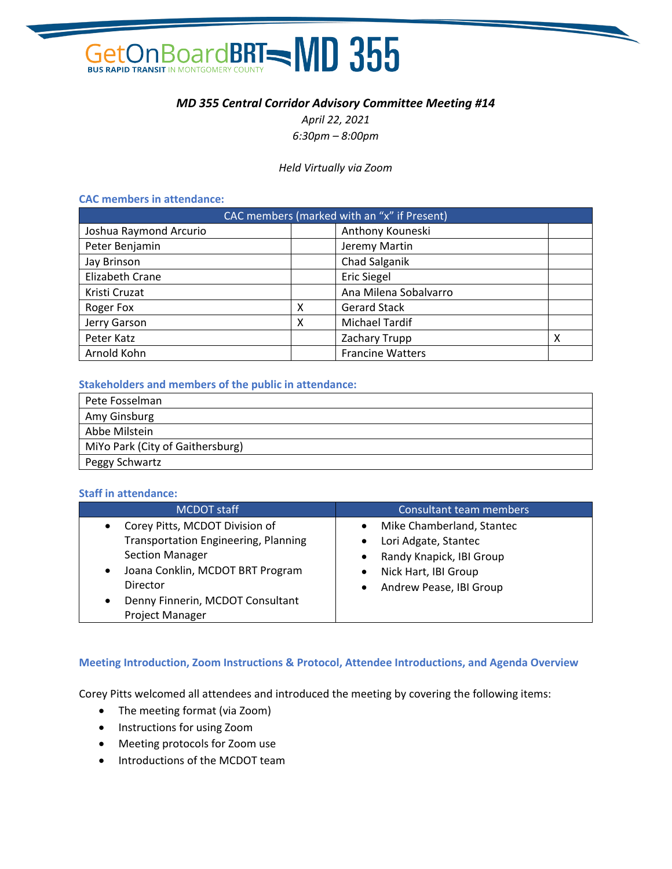# GetOn Board BRT - MD 355

# *MD 355 Central Corridor Advisory Committee Meeting #14*

*April 22, 2021 6:30pm – 8:00pm*

### *Held Virtually via Zoom*

#### **CAC members in attendance:**

| CAC members (marked with an "x" if Present) |   |                         |   |
|---------------------------------------------|---|-------------------------|---|
| Joshua Raymond Arcurio                      |   | Anthony Kouneski        |   |
| Peter Benjamin                              |   | Jeremy Martin           |   |
| Jay Brinson                                 |   | Chad Salganik           |   |
| Elizabeth Crane                             |   | <b>Eric Siegel</b>      |   |
| Kristi Cruzat                               |   | Ana Milena Sobalvarro   |   |
| Roger Fox                                   | χ | <b>Gerard Stack</b>     |   |
| Jerry Garson                                | X | <b>Michael Tardif</b>   |   |
| Peter Katz                                  |   | Zachary Trupp           | x |
| Arnold Kohn                                 |   | <b>Francine Watters</b> |   |

#### **Stakeholders and members of the public in attendance:**

| Pete Fosselman                   |  |
|----------------------------------|--|
| Amy Ginsburg                     |  |
| Abbe Milstein                    |  |
| MiYo Park (City of Gaithersburg) |  |
| Peggy Schwartz                   |  |

#### **Staff in attendance:**

| <b>MCDOT</b> staff                                                                                                                                                                                                                                   | Consultant team members                                                                                                                            |
|------------------------------------------------------------------------------------------------------------------------------------------------------------------------------------------------------------------------------------------------------|----------------------------------------------------------------------------------------------------------------------------------------------------|
| Corey Pitts, MCDOT Division of<br>$\bullet$<br><b>Transportation Engineering, Planning</b><br><b>Section Manager</b><br>Joana Conklin, MCDOT BRT Program<br>$\bullet$<br>Director<br>Denny Finnerin, MCDOT Consultant<br>٠<br><b>Project Manager</b> | Mike Chamberland, Stantec<br>Lori Adgate, Stantec<br>Randy Knapick, IBI Group<br>Nick Hart, IBI Group<br>٠<br>Andrew Pease, IBI Group<br>$\bullet$ |

# **Meeting Introduction, Zoom Instructions & Protocol, Attendee Introductions, and Agenda Overview**

Corey Pitts welcomed all attendees and introduced the meeting by covering the following items:

- The meeting format (via Zoom)
- Instructions for using Zoom
- Meeting protocols for Zoom use
- Introductions of the MCDOT team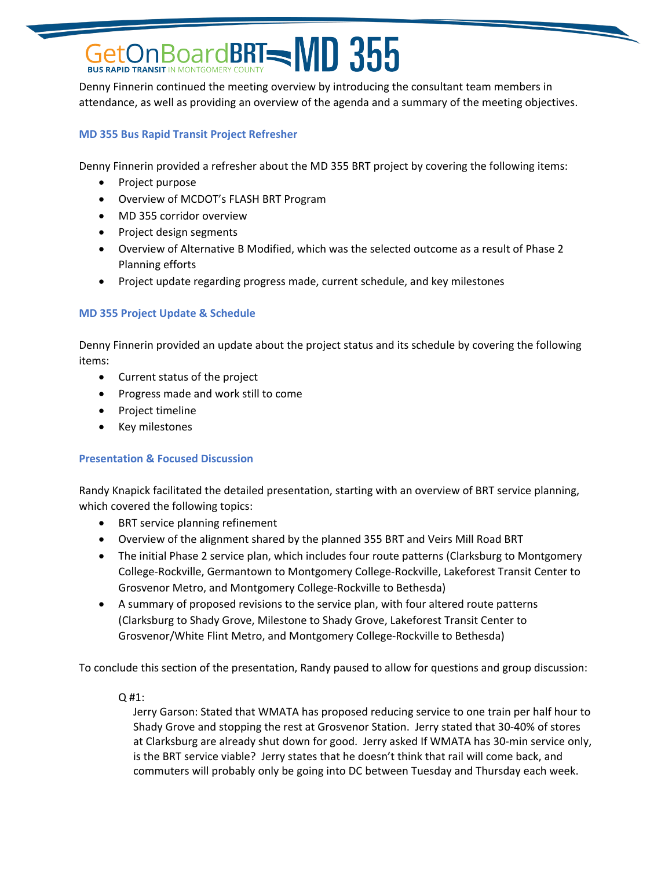# BoardBRT=MD 355 **BUS RAPID TRANSIT IN MONTGOMERY COUNT**

Denny Finnerin continued the meeting overview by introducing the consultant team members in attendance, as well as providing an overview of the agenda and a summary of the meeting objectives.

# **MD 355 Bus Rapid Transit Project Refresher**

Denny Finnerin provided a refresher about the MD 355 BRT project by covering the following items:

- Project purpose
- Overview of MCDOT's FLASH BRT Program
- MD 355 corridor overview
- Project design segments
- Overview of Alternative B Modified, which was the selected outcome as a result of Phase 2 Planning efforts
- Project update regarding progress made, current schedule, and key milestones

# **MD 355 Project Update & Schedule**

Denny Finnerin provided an update about the project status and its schedule by covering the following items:

- Current status of the project
- Progress made and work still to come
- Project timeline
- Key milestones

## **Presentation & Focused Discussion**

Randy Knapick facilitated the detailed presentation, starting with an overview of BRT service planning, which covered the following topics:

- BRT service planning refinement
- Overview of the alignment shared by the planned 355 BRT and Veirs Mill Road BRT
- The initial Phase 2 service plan, which includes four route patterns (Clarksburg to Montgomery College-Rockville, Germantown to Montgomery College-Rockville, Lakeforest Transit Center to Grosvenor Metro, and Montgomery College-Rockville to Bethesda)
- A summary of proposed revisions to the service plan, with four altered route patterns (Clarksburg to Shady Grove, Milestone to Shady Grove, Lakeforest Transit Center to Grosvenor/White Flint Metro, and Montgomery College-Rockville to Bethesda)

To conclude this section of the presentation, Randy paused to allow for questions and group discussion:

Q #1:

Jerry Garson: Stated that WMATA has proposed reducing service to one train per half hour to Shady Grove and stopping the rest at Grosvenor Station. Jerry stated that 30-40% of stores at Clarksburg are already shut down for good. Jerry asked If WMATA has 30-min service only, is the BRT service viable? Jerry states that he doesn't think that rail will come back, and commuters will probably only be going into DC between Tuesday and Thursday each week.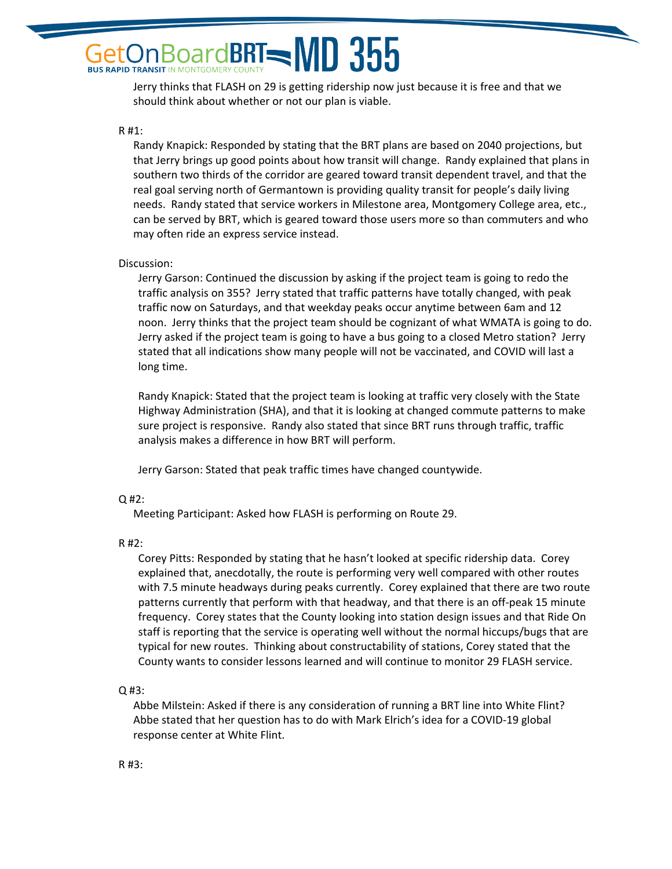# $\alpha$ ard**BRT** $=$ **MD 355 BUS RAPID TRANSIT IN MONTGOMERY COUNT**

Jerry thinks that FLASH on 29 is getting ridership now just because it is free and that we should think about whether or not our plan is viable.

#### R #1:

Randy Knapick: Responded by stating that the BRT plans are based on 2040 projections, but that Jerry brings up good points about how transit will change. Randy explained that plans in southern two thirds of the corridor are geared toward transit dependent travel, and that the real goal serving north of Germantown is providing quality transit for people's daily living needs. Randy stated that service workers in Milestone area, Montgomery College area, etc., can be served by BRT, which is geared toward those users more so than commuters and who may often ride an express service instead.

#### Discussion:

Jerry Garson: Continued the discussion by asking if the project team is going to redo the traffic analysis on 355? Jerry stated that traffic patterns have totally changed, with peak traffic now on Saturdays, and that weekday peaks occur anytime between 6am and 12 noon. Jerry thinks that the project team should be cognizant of what WMATA is going to do. Jerry asked if the project team is going to have a bus going to a closed Metro station? Jerry stated that all indications show many people will not be vaccinated, and COVID will last a long time.

Randy Knapick: Stated that the project team is looking at traffic very closely with the State Highway Administration (SHA), and that it is looking at changed commute patterns to make sure project is responsive. Randy also stated that since BRT runs through traffic, traffic analysis makes a difference in how BRT will perform.

Jerry Garson: Stated that peak traffic times have changed countywide.

#### $Q#2$ :

Meeting Participant: Asked how FLASH is performing on Route 29.

R #2:

Corey Pitts: Responded by stating that he hasn't looked at specific ridership data. Corey explained that, anecdotally, the route is performing very well compared with other routes with 7.5 minute headways during peaks currently. Corey explained that there are two route patterns currently that perform with that headway, and that there is an off-peak 15 minute frequency. Corey states that the County looking into station design issues and that Ride On staff is reporting that the service is operating well without the normal hiccups/bugs that are typical for new routes. Thinking about constructability of stations, Corey stated that the County wants to consider lessons learned and will continue to monitor 29 FLASH service.

Q #3:

Abbe Milstein: Asked if there is any consideration of running a BRT line into White Flint? Abbe stated that her question has to do with Mark Elrich's idea for a COVID-19 global response center at White Flint.

R #3: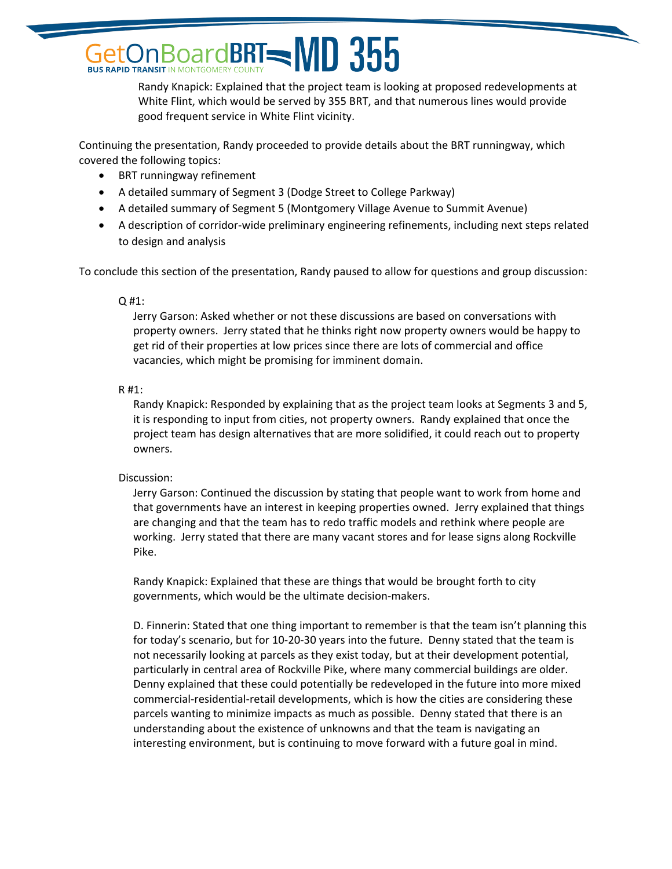# BoardBRT=MD 355 **BUS RAPID TRANSIT IN MONTGOMERY COUNT**

Randy Knapick: Explained that the project team is looking at proposed redevelopments at White Flint, which would be served by 355 BRT, and that numerous lines would provide good frequent service in White Flint vicinity.

Continuing the presentation, Randy proceeded to provide details about the BRT runningway, which covered the following topics:

- BRT runningway refinement
- A detailed summary of Segment 3 (Dodge Street to College Parkway)
- A detailed summary of Segment 5 (Montgomery Village Avenue to Summit Avenue)
- A description of corridor-wide preliminary engineering refinements, including next steps related to design and analysis

To conclude this section of the presentation, Randy paused to allow for questions and group discussion:

# $Q#1$ :

Jerry Garson: Asked whether or not these discussions are based on conversations with property owners. Jerry stated that he thinks right now property owners would be happy to get rid of their properties at low prices since there are lots of commercial and office vacancies, which might be promising for imminent domain.

# R #1:

Randy Knapick: Responded by explaining that as the project team looks at Segments 3 and 5, it is responding to input from cities, not property owners. Randy explained that once the project team has design alternatives that are more solidified, it could reach out to property owners.

# Discussion:

Jerry Garson: Continued the discussion by stating that people want to work from home and that governments have an interest in keeping properties owned. Jerry explained that things are changing and that the team has to redo traffic models and rethink where people are working. Jerry stated that there are many vacant stores and for lease signs along Rockville Pike.

Randy Knapick: Explained that these are things that would be brought forth to city governments, which would be the ultimate decision-makers.

D. Finnerin: Stated that one thing important to remember is that the team isn't planning this for today's scenario, but for 10-20-30 years into the future. Denny stated that the team is not necessarily looking at parcels as they exist today, but at their development potential, particularly in central area of Rockville Pike, where many commercial buildings are older. Denny explained that these could potentially be redeveloped in the future into more mixed commercial-residential-retail developments, which is how the cities are considering these parcels wanting to minimize impacts as much as possible. Denny stated that there is an understanding about the existence of unknowns and that the team is navigating an interesting environment, but is continuing to move forward with a future goal in mind.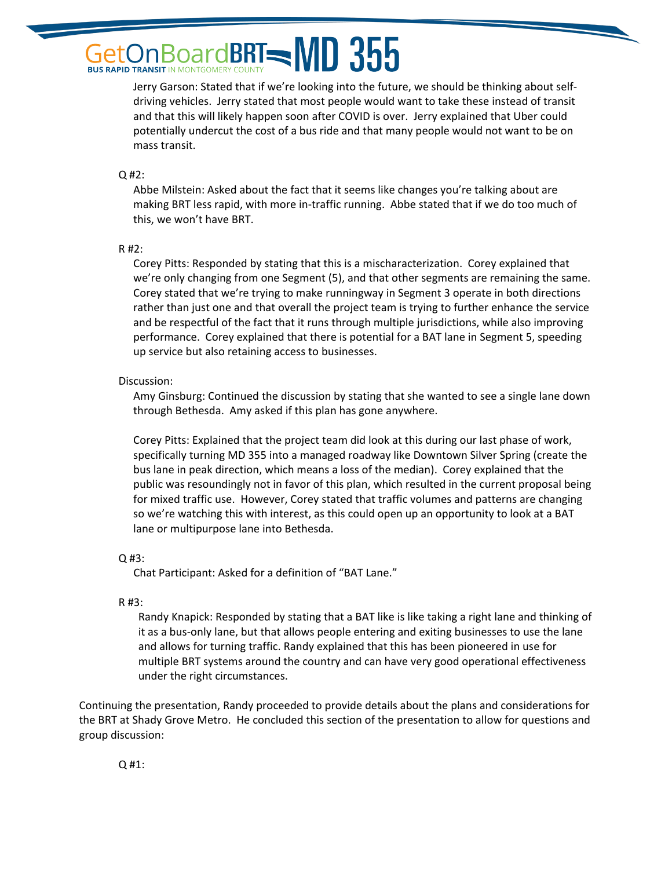# $\alpha$ ard**BRT=** $\text{M}$ **D 355 BUS RAPID TRANSIT IN MONTGOMERY COUNTY**

Jerry Garson: Stated that if we're looking into the future, we should be thinking about selfdriving vehicles. Jerry stated that most people would want to take these instead of transit and that this will likely happen soon after COVID is over. Jerry explained that Uber could potentially undercut the cost of a bus ride and that many people would not want to be on mass transit.

### $Q#2$ :

Abbe Milstein: Asked about the fact that it seems like changes you're talking about are making BRT less rapid, with more in-traffic running. Abbe stated that if we do too much of this, we won't have BRT.

#### R #2:

Corey Pitts: Responded by stating that this is a mischaracterization. Corey explained that we're only changing from one Segment (5), and that other segments are remaining the same. Corey stated that we're trying to make runningway in Segment 3 operate in both directions rather than just one and that overall the project team is trying to further enhance the service and be respectful of the fact that it runs through multiple jurisdictions, while also improving performance. Corey explained that there is potential for a BAT lane in Segment 5, speeding up service but also retaining access to businesses.

## Discussion:

Amy Ginsburg: Continued the discussion by stating that she wanted to see a single lane down through Bethesda. Amy asked if this plan has gone anywhere.

Corey Pitts: Explained that the project team did look at this during our last phase of work, specifically turning MD 355 into a managed roadway like Downtown Silver Spring (create the bus lane in peak direction, which means a loss of the median). Corey explained that the public was resoundingly not in favor of this plan, which resulted in the current proposal being for mixed traffic use. However, Corey stated that traffic volumes and patterns are changing so we're watching this with interest, as this could open up an opportunity to look at a BAT lane or multipurpose lane into Bethesda.

## Q #3:

Chat Participant: Asked for a definition of "BAT Lane."

## R #3:

Randy Knapick: Responded by stating that a BAT like is like taking a right lane and thinking of it as a bus-only lane, but that allows people entering and exiting businesses to use the lane and allows for turning traffic. Randy explained that this has been pioneered in use for multiple BRT systems around the country and can have very good operational effectiveness under the right circumstances.

Continuing the presentation, Randy proceeded to provide details about the plans and considerations for the BRT at Shady Grove Metro. He concluded this section of the presentation to allow for questions and group discussion:

Q #1: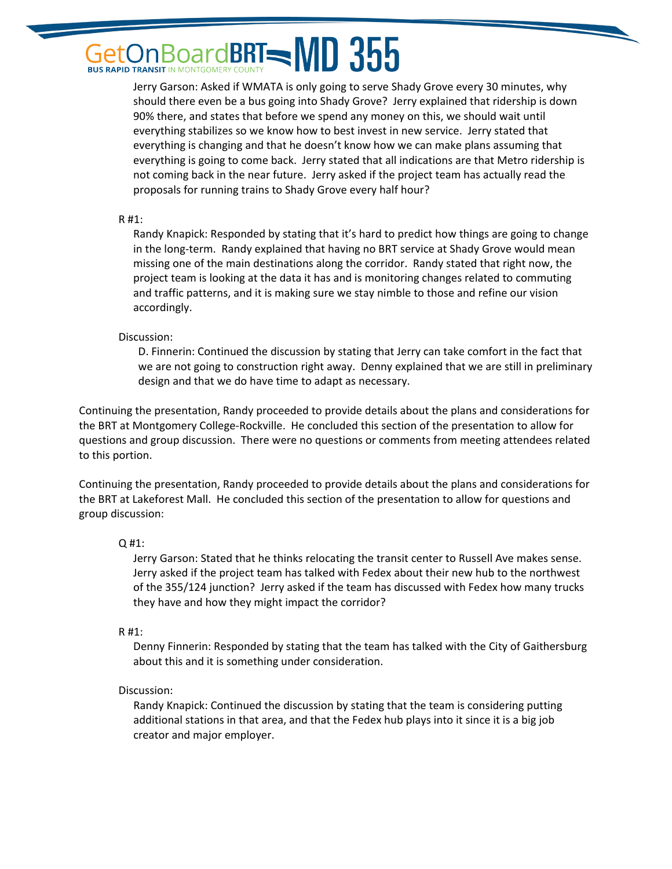# pardBRT=MD 355 **BUS RAPID TRANSIT IN MONTGOMERY COUNT**

Jerry Garson: Asked if WMATA is only going to serve Shady Grove every 30 minutes, why should there even be a bus going into Shady Grove? Jerry explained that ridership is down 90% there, and states that before we spend any money on this, we should wait until everything stabilizes so we know how to best invest in new service. Jerry stated that everything is changing and that he doesn't know how we can make plans assuming that everything is going to come back. Jerry stated that all indications are that Metro ridership is not coming back in the near future. Jerry asked if the project team has actually read the proposals for running trains to Shady Grove every half hour?

R #1:

Randy Knapick: Responded by stating that it's hard to predict how things are going to change in the long-term. Randy explained that having no BRT service at Shady Grove would mean missing one of the main destinations along the corridor. Randy stated that right now, the project team is looking at the data it has and is monitoring changes related to commuting and traffic patterns, and it is making sure we stay nimble to those and refine our vision accordingly.

# Discussion:

D. Finnerin: Continued the discussion by stating that Jerry can take comfort in the fact that we are not going to construction right away. Denny explained that we are still in preliminary design and that we do have time to adapt as necessary.

Continuing the presentation, Randy proceeded to provide details about the plans and considerations for the BRT at Montgomery College-Rockville. He concluded this section of the presentation to allow for questions and group discussion. There were no questions or comments from meeting attendees related to this portion.

Continuing the presentation, Randy proceeded to provide details about the plans and considerations for the BRT at Lakeforest Mall. He concluded this section of the presentation to allow for questions and group discussion:

Q #1:

Jerry Garson: Stated that he thinks relocating the transit center to Russell Ave makes sense. Jerry asked if the project team has talked with Fedex about their new hub to the northwest of the 355/124 junction? Jerry asked if the team has discussed with Fedex how many trucks they have and how they might impact the corridor?

R #1:

Denny Finnerin: Responded by stating that the team has talked with the City of Gaithersburg about this and it is something under consideration.

## Discussion:

Randy Knapick: Continued the discussion by stating that the team is considering putting additional stations in that area, and that the Fedex hub plays into it since it is a big job creator and major employer.